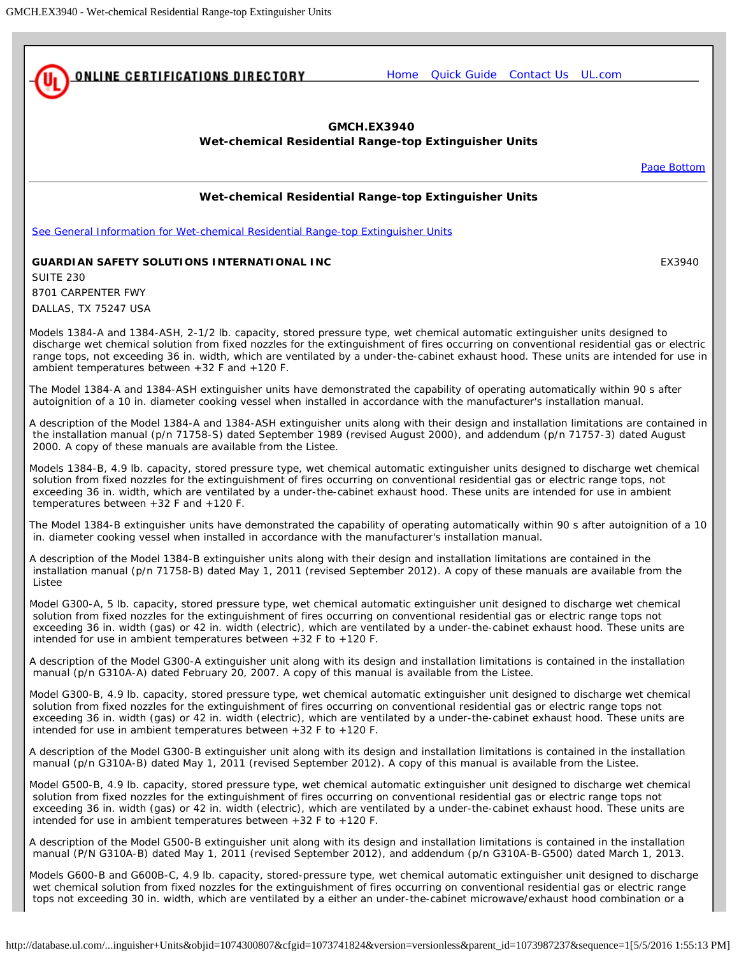<span id="page-0-0"></span>